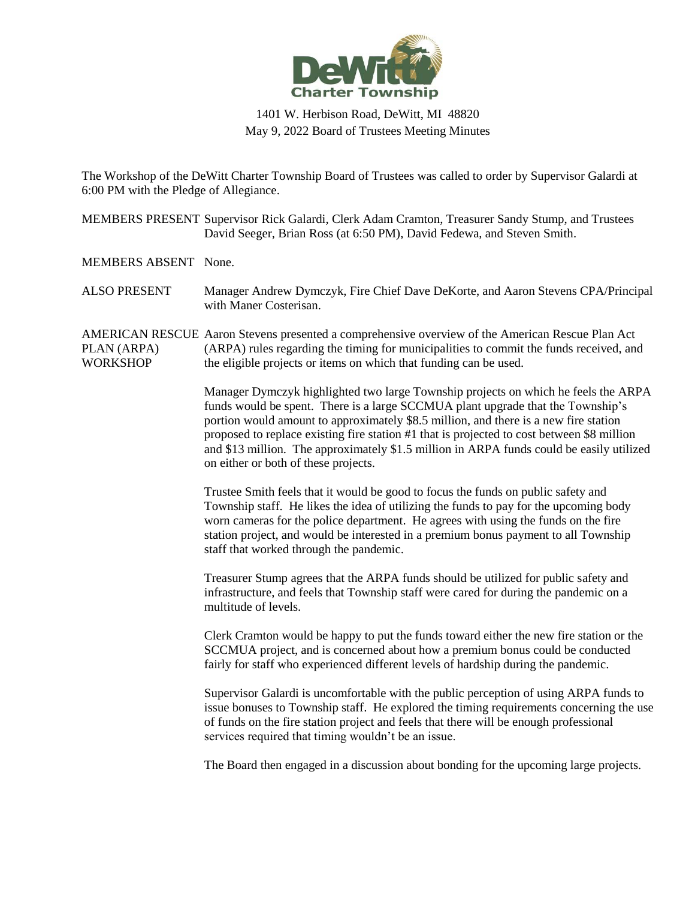

## 1401 W. Herbison Road, DeWitt, MI 48820 May 9, 2022 Board of Trustees Meeting Minutes

The Workshop of the DeWitt Charter Township Board of Trustees was called to order by Supervisor Galardi at 6:00 PM with the Pledge of Allegiance.

MEMBERS PRESENT Supervisor Rick Galardi, Clerk Adam Cramton, Treasurer Sandy Stump, and Trustees David Seeger, Brian Ross (at 6:50 PM), David Fedewa, and Steven Smith.

MEMBERS ABSENT None.

ALSO PRESENT Manager Andrew Dymczyk, Fire Chief Dave DeKorte, and Aaron Stevens CPA/Principal with Maner Costerisan.

AMERICAN RESCUE Aaron Stevens presented a comprehensive overview of the American Rescue Plan Act PLAN (ARPA) **WORKSHOP** (ARPA) rules regarding the timing for municipalities to commit the funds received, and the eligible projects or items on which that funding can be used.

> Manager Dymczyk highlighted two large Township projects on which he feels the ARPA funds would be spent. There is a large SCCMUA plant upgrade that the Township's portion would amount to approximately \$8.5 million, and there is a new fire station proposed to replace existing fire station #1 that is projected to cost between \$8 million and \$13 million. The approximately \$1.5 million in ARPA funds could be easily utilized on either or both of these projects.

Trustee Smith feels that it would be good to focus the funds on public safety and Township staff. He likes the idea of utilizing the funds to pay for the upcoming body worn cameras for the police department. He agrees with using the funds on the fire station project, and would be interested in a premium bonus payment to all Township staff that worked through the pandemic.

Treasurer Stump agrees that the ARPA funds should be utilized for public safety and infrastructure, and feels that Township staff were cared for during the pandemic on a multitude of levels.

Clerk Cramton would be happy to put the funds toward either the new fire station or the SCCMUA project, and is concerned about how a premium bonus could be conducted fairly for staff who experienced different levels of hardship during the pandemic.

Supervisor Galardi is uncomfortable with the public perception of using ARPA funds to issue bonuses to Township staff. He explored the timing requirements concerning the use of funds on the fire station project and feels that there will be enough professional services required that timing wouldn't be an issue.

The Board then engaged in a discussion about bonding for the upcoming large projects.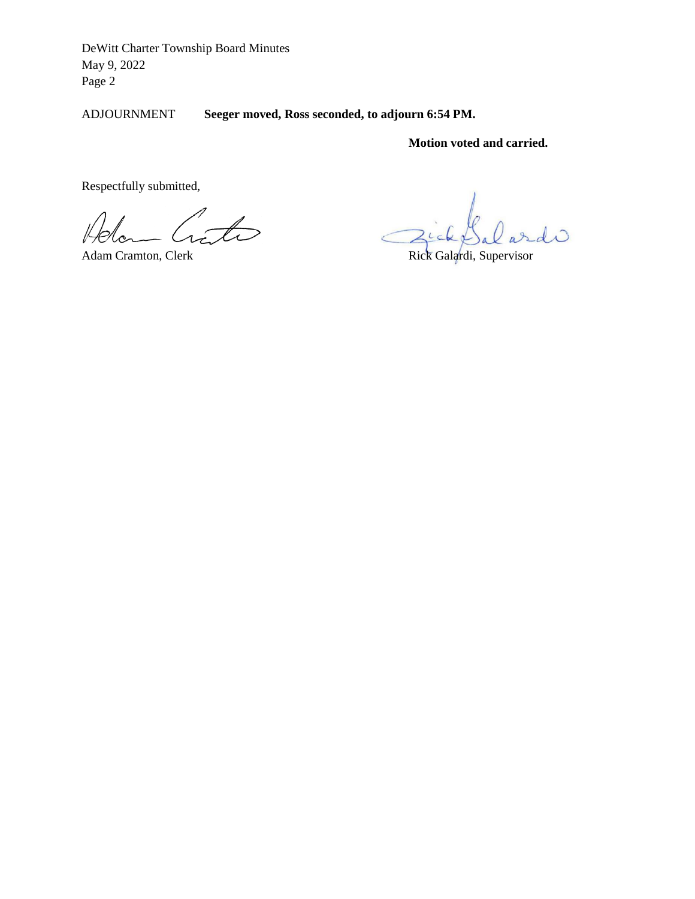ADJOURNMENT **Seeger moved, Ross seconded, to adjourn 6:54 PM.** 

**Motion voted and carried.** 

Respectfully submitted,

 $\overline{\mathcal{L}}$ 

 $\overline{\mathcal{L}}$ 

Adam Cramton, Clerk Rick Galardi, Supervisor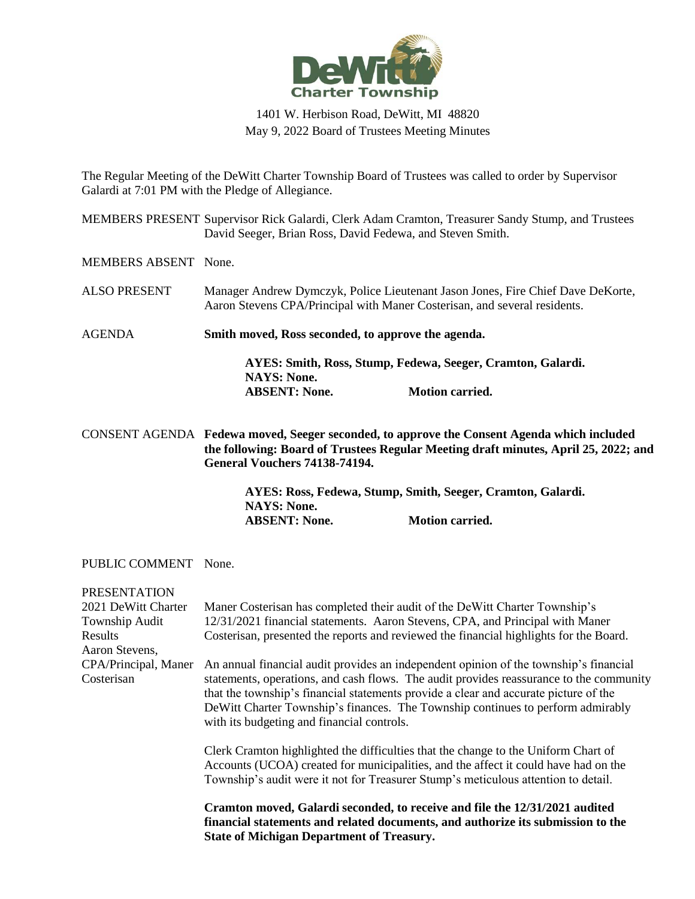

## 1401 W. Herbison Road, DeWitt, MI 48820 May 9, 2022 Board of Trustees Meeting Minutes

The Regular Meeting of the DeWitt Charter Township Board of Trustees was called to order by Supervisor Galardi at 7:01 PM with the Pledge of Allegiance.

MEMBERS PRESENT Supervisor Rick Galardi, Clerk Adam Cramton, Treasurer Sandy Stump, and Trustees David Seeger, Brian Ross, David Fedewa, and Steven Smith.

MEMBERS ABSENT None.

ALSO PRESENT Manager Andrew Dymczyk, Police Lieutenant Jason Jones, Fire Chief Dave DeKorte, Aaron Stevens CPA/Principal with Maner Costerisan, and several residents.

AGENDA **Smith moved, Ross seconded, to approve the agenda.**

**AYES: Smith, Ross, Stump, Fedewa, Seeger, Cramton, Galardi. NAYS: None. ABSENT: None. Motion carried.**

CONSENT AGENDA **Fedewa moved, Seeger seconded, to approve the Consent Agenda which included the following: Board of Trustees Regular Meeting draft minutes, April 25, 2022; and General Vouchers 74138-74194.**

> **AYES: Ross, Fedewa, Stump, Smith, Seeger, Cramton, Galardi. NAYS: None. ABSENT: None. Motion carried.**

## PUBLIC COMMENT None.

PRESENTATION

| <b>FRESEIVIATION</b>               |                                                                                                                                                                                                                                                                                                                                                                                                            |
|------------------------------------|------------------------------------------------------------------------------------------------------------------------------------------------------------------------------------------------------------------------------------------------------------------------------------------------------------------------------------------------------------------------------------------------------------|
| 2021 DeWitt Charter                | Maner Costerisan has completed their audit of the DeWitt Charter Township's                                                                                                                                                                                                                                                                                                                                |
| Township Audit                     | 12/31/2021 financial statements. Aaron Stevens, CPA, and Principal with Maner                                                                                                                                                                                                                                                                                                                              |
| Results<br>Aaron Stevens,          | Costerisan, presented the reports and reviewed the financial highlights for the Board.                                                                                                                                                                                                                                                                                                                     |
| CPA/Principal, Maner<br>Costerisan | An annual financial audit provides an independent opinion of the township's financial<br>statements, operations, and cash flows. The audit provides reassurance to the community<br>that the township's financial statements provide a clear and accurate picture of the<br>De Witt Charter Township's finances. The Township continues to perform admirably<br>with its budgeting and financial controls. |
|                                    | Clerk Cramton highlighted the difficulties that the change to the Uniform Chart of<br>Accounts (UCOA) created for municipalities, and the affect it could have had on the<br>Township's audit were it not for Treasurer Stump's meticulous attention to detail.                                                                                                                                            |
|                                    | Cramton moved, Galardi seconded, to receive and file the 12/31/2021 audited<br>financial statements and related documents, and authorize its submission to the<br><b>State of Michigan Department of Treasury.</b>                                                                                                                                                                                         |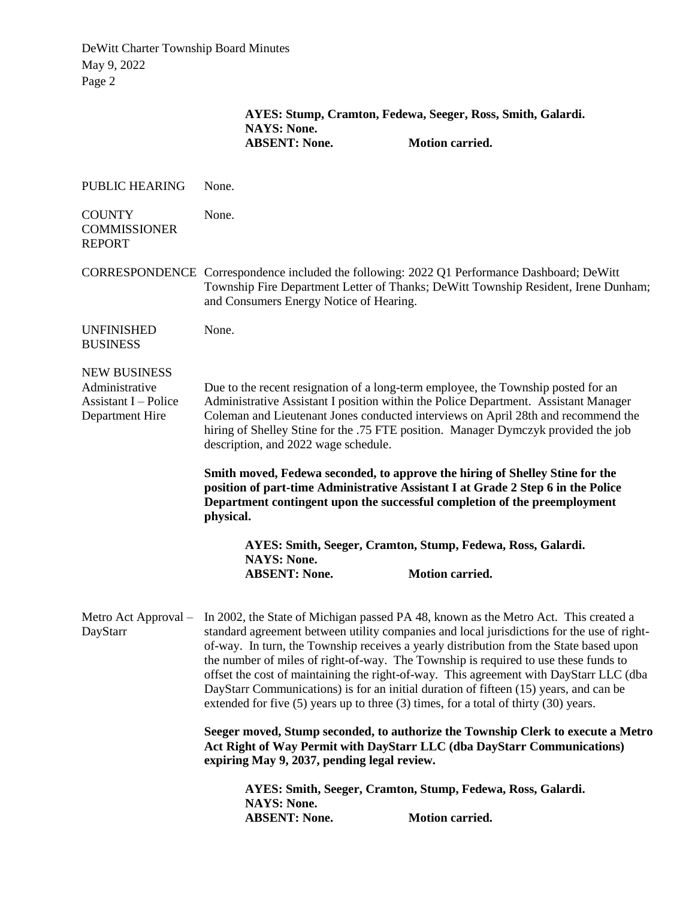|                                                                                         | AYES: Stump, Cramton, Fedewa, Seeger, Ross, Smith, Galardi.<br><b>NAYS: None.</b>                                                                                                                                                                                                                                                                                                                                                                                                                                                                                                                                                                                        |                                                                                                                                                                                                                                               |  |
|-----------------------------------------------------------------------------------------|--------------------------------------------------------------------------------------------------------------------------------------------------------------------------------------------------------------------------------------------------------------------------------------------------------------------------------------------------------------------------------------------------------------------------------------------------------------------------------------------------------------------------------------------------------------------------------------------------------------------------------------------------------------------------|-----------------------------------------------------------------------------------------------------------------------------------------------------------------------------------------------------------------------------------------------|--|
|                                                                                         | <b>ABSENT: None.</b>                                                                                                                                                                                                                                                                                                                                                                                                                                                                                                                                                                                                                                                     | <b>Motion carried.</b>                                                                                                                                                                                                                        |  |
| <b>PUBLIC HEARING</b>                                                                   | None.                                                                                                                                                                                                                                                                                                                                                                                                                                                                                                                                                                                                                                                                    |                                                                                                                                                                                                                                               |  |
| <b>COUNTY</b><br><b>COMMISSIONER</b><br><b>REPORT</b>                                   | None.                                                                                                                                                                                                                                                                                                                                                                                                                                                                                                                                                                                                                                                                    |                                                                                                                                                                                                                                               |  |
|                                                                                         | CORRESPONDENCE Correspondence included the following: 2022 Q1 Performance Dashboard; DeWitt<br>Township Fire Department Letter of Thanks; DeWitt Township Resident, Irene Dunham;<br>and Consumers Energy Notice of Hearing.                                                                                                                                                                                                                                                                                                                                                                                                                                             |                                                                                                                                                                                                                                               |  |
| <b>UNFINISHED</b><br><b>BUSINESS</b>                                                    | None.                                                                                                                                                                                                                                                                                                                                                                                                                                                                                                                                                                                                                                                                    |                                                                                                                                                                                                                                               |  |
| <b>NEW BUSINESS</b><br>Administrative<br><b>Assistant I</b> – Police<br>Department Hire | Due to the recent resignation of a long-term employee, the Township posted for an<br>Administrative Assistant I position within the Police Department. Assistant Manager<br>Coleman and Lieutenant Jones conducted interviews on April 28th and recommend the<br>hiring of Shelley Stine for the .75 FTE position. Manager Dymczyk provided the job<br>description, and 2022 wage schedule.                                                                                                                                                                                                                                                                              |                                                                                                                                                                                                                                               |  |
|                                                                                         | physical.                                                                                                                                                                                                                                                                                                                                                                                                                                                                                                                                                                                                                                                                | Smith moved, Fedewa seconded, to approve the hiring of Shelley Stine for the<br>position of part-time Administrative Assistant I at Grade 2 Step 6 in the Police<br>Department contingent upon the successful completion of the preemployment |  |
|                                                                                         | <b>NAYS: None.</b><br><b>ABSENT: None.</b>                                                                                                                                                                                                                                                                                                                                                                                                                                                                                                                                                                                                                               | AYES: Smith, Seeger, Cramton, Stump, Fedewa, Ross, Galardi.<br><b>Motion carried.</b>                                                                                                                                                         |  |
| DayStarr                                                                                | Metro Act Approval - In 2002, the State of Michigan passed PA 48, known as the Metro Act. This created a<br>standard agreement between utility companies and local jurisdictions for the use of right-<br>of-way. In turn, the Township receives a yearly distribution from the State based upon<br>the number of miles of right-of-way. The Township is required to use these funds to<br>offset the cost of maintaining the right-of-way. This agreement with DayStarr LLC (dba<br>DayStarr Communications) is for an initial duration of fifteen (15) years, and can be<br>extended for five $(5)$ years up to three $(3)$ times, for a total of thirty $(30)$ years. |                                                                                                                                                                                                                                               |  |
|                                                                                         | Seeger moved, Stump seconded, to authorize the Township Clerk to execute a Metro<br>Act Right of Way Permit with DayStarr LLC (dba DayStarr Communications)<br>expiring May 9, 2037, pending legal review.                                                                                                                                                                                                                                                                                                                                                                                                                                                               |                                                                                                                                                                                                                                               |  |
|                                                                                         | AYES: Smith, Seeger, Cramton, Stump, Fedewa, Ross, Galardi.<br><b>NAYS: None.</b><br><b>ABSENT: None.</b><br>Motion carried.                                                                                                                                                                                                                                                                                                                                                                                                                                                                                                                                             |                                                                                                                                                                                                                                               |  |
|                                                                                         |                                                                                                                                                                                                                                                                                                                                                                                                                                                                                                                                                                                                                                                                          |                                                                                                                                                                                                                                               |  |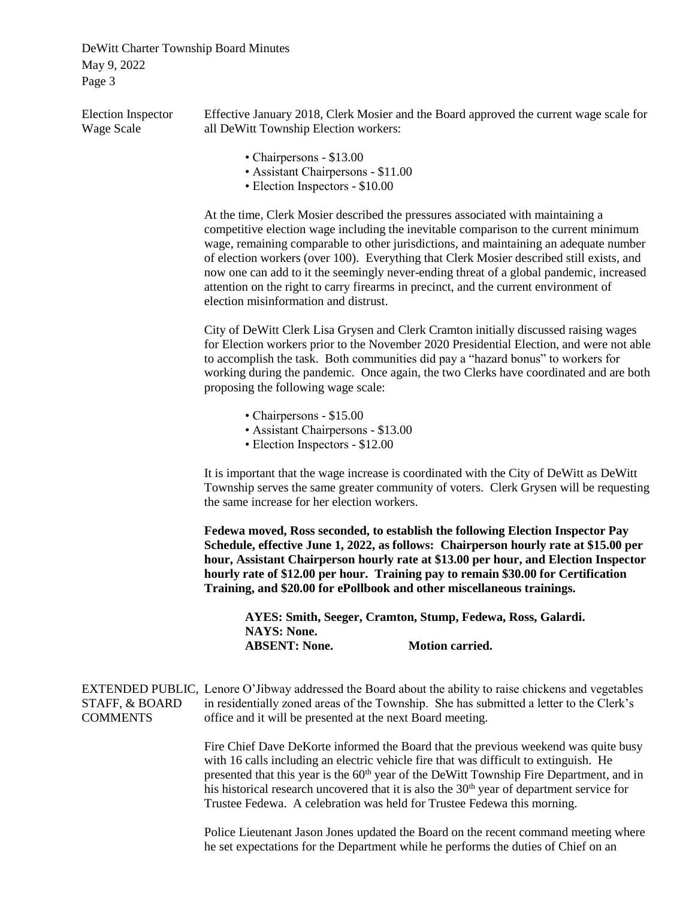| <b>Election Inspector</b><br>Wage Scale | Effective January 2018, Clerk Mosier and the Board approved the current wage scale for<br>all DeWitt Township Election workers:                                                                                                                                                                                                                                                                                                                                                                                                                                                          |  |  |
|-----------------------------------------|------------------------------------------------------------------------------------------------------------------------------------------------------------------------------------------------------------------------------------------------------------------------------------------------------------------------------------------------------------------------------------------------------------------------------------------------------------------------------------------------------------------------------------------------------------------------------------------|--|--|
|                                         | • Chairpersons - \$13.00<br>• Assistant Chairpersons - \$11.00<br>• Election Inspectors - \$10.00                                                                                                                                                                                                                                                                                                                                                                                                                                                                                        |  |  |
|                                         | At the time, Clerk Mosier described the pressures associated with maintaining a<br>competitive election wage including the inevitable comparison to the current minimum<br>wage, remaining comparable to other jurisdictions, and maintaining an adequate number<br>of election workers (over 100). Everything that Clerk Mosier described still exists, and<br>now one can add to it the seemingly never-ending threat of a global pandemic, increased<br>attention on the right to carry firearms in precinct, and the current environment of<br>election misinformation and distrust. |  |  |
|                                         | City of DeWitt Clerk Lisa Grysen and Clerk Cramton initially discussed raising wages<br>for Election workers prior to the November 2020 Presidential Election, and were not able<br>to accomplish the task. Both communities did pay a "hazard bonus" to workers for<br>working during the pandemic. Once again, the two Clerks have coordinated and are both<br>proposing the following wage scale:                                                                                                                                                                                     |  |  |
|                                         | • Chairpersons - \$15.00<br>• Assistant Chairpersons - \$13.00<br>• Election Inspectors - \$12.00                                                                                                                                                                                                                                                                                                                                                                                                                                                                                        |  |  |
|                                         | It is important that the wage increase is coordinated with the City of DeWitt as DeWitt<br>Township serves the same greater community of voters. Clerk Grysen will be requesting<br>the same increase for her election workers.                                                                                                                                                                                                                                                                                                                                                          |  |  |
|                                         | Fedewa moved, Ross seconded, to establish the following Election Inspector Pay<br>Schedule, effective June 1, 2022, as follows: Chairperson hourly rate at \$15.00 per<br>hour, Assistant Chairperson hourly rate at \$13.00 per hour, and Election Inspector<br>hourly rate of \$12.00 per hour. Training pay to remain \$30.00 for Certification<br>Training, and \$20.00 for ePollbook and other miscellaneous trainings.                                                                                                                                                             |  |  |
|                                         | AYES: Smith, Seeger, Cramton, Stump, Fedewa, Ross, Galardi.<br><b>NAYS: None.</b>                                                                                                                                                                                                                                                                                                                                                                                                                                                                                                        |  |  |
|                                         | <b>Motion carried.</b><br><b>ABSENT: None.</b>                                                                                                                                                                                                                                                                                                                                                                                                                                                                                                                                           |  |  |
| STAFF, & BOARD<br><b>COMMENTS</b>       | EXTENDED PUBLIC, Lenore O'Jibway addressed the Board about the ability to raise chickens and vegetables<br>in residentially zoned areas of the Township. She has submitted a letter to the Clerk's<br>office and it will be presented at the next Board meeting.                                                                                                                                                                                                                                                                                                                         |  |  |
|                                         | Fire Chief Dave DeKorte informed the Board that the previous weekend was quite busy<br>with 16 calls including an electric vehicle fire that was difficult to extinguish. He<br>presented that this year is the 60 <sup>th</sup> year of the DeWitt Township Fire Department, and in<br>his historical research uncovered that it is also the 30 <sup>th</sup> year of department service for<br>Trustee Fedewa. A celebration was held for Trustee Fedewa this morning.                                                                                                                 |  |  |
|                                         | Police Lieutenant Jason Jones updated the Board on the recent command meeting where<br>he set expectations for the Department while he performs the duties of Chief on an                                                                                                                                                                                                                                                                                                                                                                                                                |  |  |